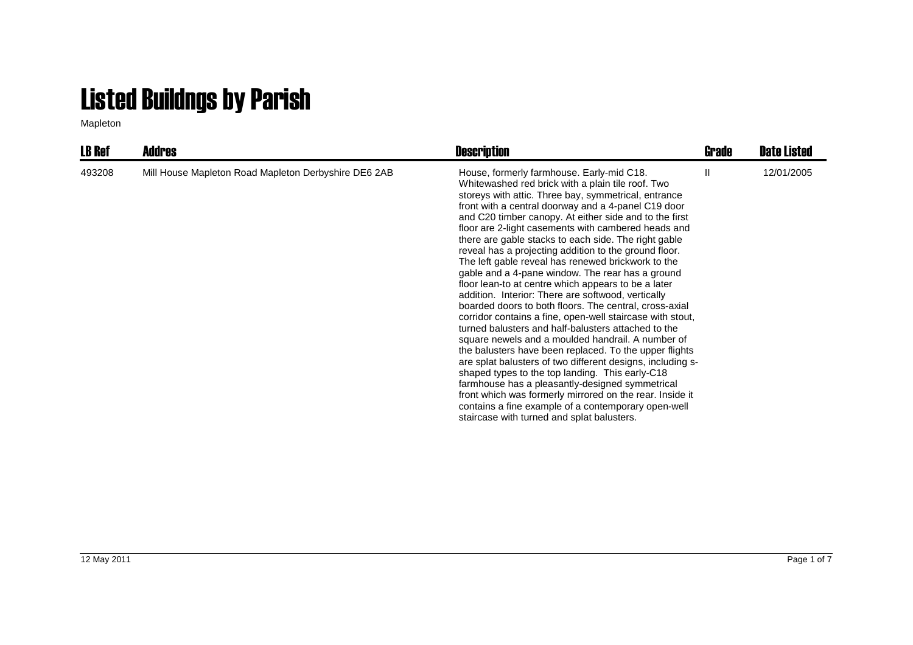## Listed Buildngs by Parish

Mapleton

| <b>LB Ref</b> | <b>Addres</b>                                        | <b>Description</b>                                                                                                                                                                                                                                                                                                                                                                                                                                                                                                                                                                                                                                                                                                                                                                                                                                                                                                                                                                                                                                                                                                                                                                                                                                                                                       | <b>Grade</b> | <b>Date Listed</b> |
|---------------|------------------------------------------------------|----------------------------------------------------------------------------------------------------------------------------------------------------------------------------------------------------------------------------------------------------------------------------------------------------------------------------------------------------------------------------------------------------------------------------------------------------------------------------------------------------------------------------------------------------------------------------------------------------------------------------------------------------------------------------------------------------------------------------------------------------------------------------------------------------------------------------------------------------------------------------------------------------------------------------------------------------------------------------------------------------------------------------------------------------------------------------------------------------------------------------------------------------------------------------------------------------------------------------------------------------------------------------------------------------------|--------------|--------------------|
| 493208        | Mill House Mapleton Road Mapleton Derbyshire DE6 2AB | House, formerly farmhouse. Early-mid C18.<br>Whitewashed red brick with a plain tile roof. Two<br>storeys with attic. Three bay, symmetrical, entrance<br>front with a central doorway and a 4-panel C19 door<br>and C20 timber canopy. At either side and to the first<br>floor are 2-light casements with cambered heads and<br>there are gable stacks to each side. The right gable<br>reveal has a projecting addition to the ground floor.<br>The left gable reveal has renewed brickwork to the<br>gable and a 4-pane window. The rear has a ground<br>floor lean-to at centre which appears to be a later<br>addition. Interior: There are softwood, vertically<br>boarded doors to both floors. The central, cross-axial<br>corridor contains a fine, open-well staircase with stout,<br>turned balusters and half-balusters attached to the<br>square newels and a moulded handrail. A number of<br>the balusters have been replaced. To the upper flights<br>are splat balusters of two different designs, including s-<br>shaped types to the top landing. This early-C18<br>farmhouse has a pleasantly-designed symmetrical<br>front which was formerly mirrored on the rear. Inside it<br>contains a fine example of a contemporary open-well<br>staircase with turned and splat balusters. | Ш            | 12/01/2005         |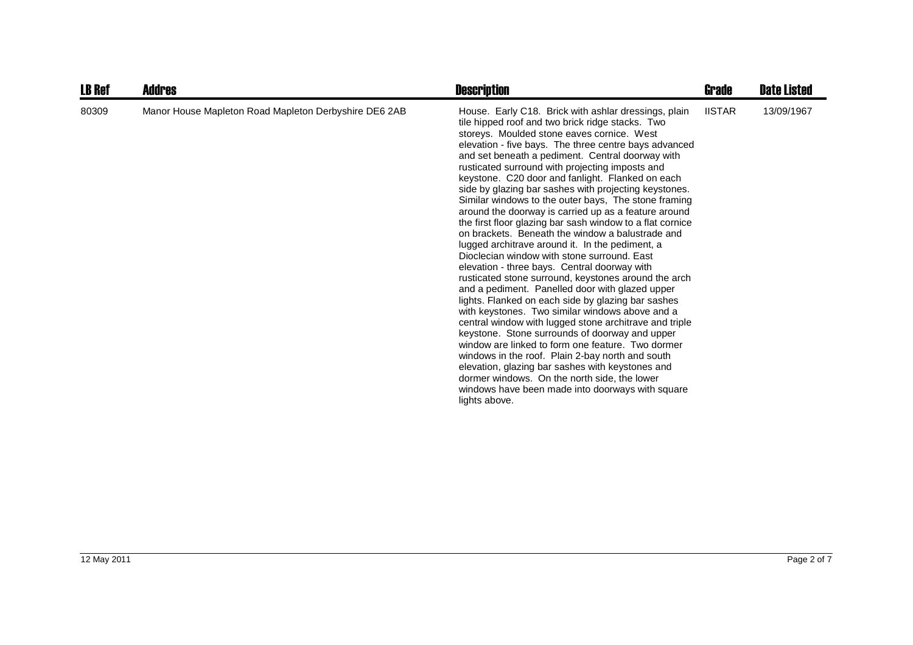| <b>LB Ref</b> | <b>Addres</b>                                         | <b>Description</b>                                                                                                                                                                                                                                                                                                                                                                                                                                                                                                                                                                                                                                                                                                                                                                                                                                                                                                                                                                                                                                                                                                                                                                                                                                                                                                                                                                                                                       | <b>Grade</b>  | <b>Date Listed</b> |
|---------------|-------------------------------------------------------|------------------------------------------------------------------------------------------------------------------------------------------------------------------------------------------------------------------------------------------------------------------------------------------------------------------------------------------------------------------------------------------------------------------------------------------------------------------------------------------------------------------------------------------------------------------------------------------------------------------------------------------------------------------------------------------------------------------------------------------------------------------------------------------------------------------------------------------------------------------------------------------------------------------------------------------------------------------------------------------------------------------------------------------------------------------------------------------------------------------------------------------------------------------------------------------------------------------------------------------------------------------------------------------------------------------------------------------------------------------------------------------------------------------------------------------|---------------|--------------------|
| 80309         | Manor House Mapleton Road Mapleton Derbyshire DE6 2AB | House. Early C18. Brick with ashlar dressings, plain<br>tile hipped roof and two brick ridge stacks. Two<br>storeys. Moulded stone eaves cornice. West<br>elevation - five bays. The three centre bays advanced<br>and set beneath a pediment. Central doorway with<br>rusticated surround with projecting imposts and<br>keystone. C20 door and fanlight. Flanked on each<br>side by glazing bar sashes with projecting keystones.<br>Similar windows to the outer bays, The stone framing<br>around the doorway is carried up as a feature around<br>the first floor glazing bar sash window to a flat cornice<br>on brackets. Beneath the window a balustrade and<br>lugged architrave around it. In the pediment, a<br>Dioclecian window with stone surround. East<br>elevation - three bays. Central doorway with<br>rusticated stone surround, keystones around the arch<br>and a pediment. Panelled door with glazed upper<br>lights. Flanked on each side by glazing bar sashes<br>with keystones. Two similar windows above and a<br>central window with lugged stone architrave and triple<br>keystone. Stone surrounds of doorway and upper<br>window are linked to form one feature. Two dormer<br>windows in the roof. Plain 2-bay north and south<br>elevation, glazing bar sashes with keystones and<br>dormer windows. On the north side, the lower<br>windows have been made into doorways with square<br>lights above. | <b>IISTAR</b> | 13/09/1967         |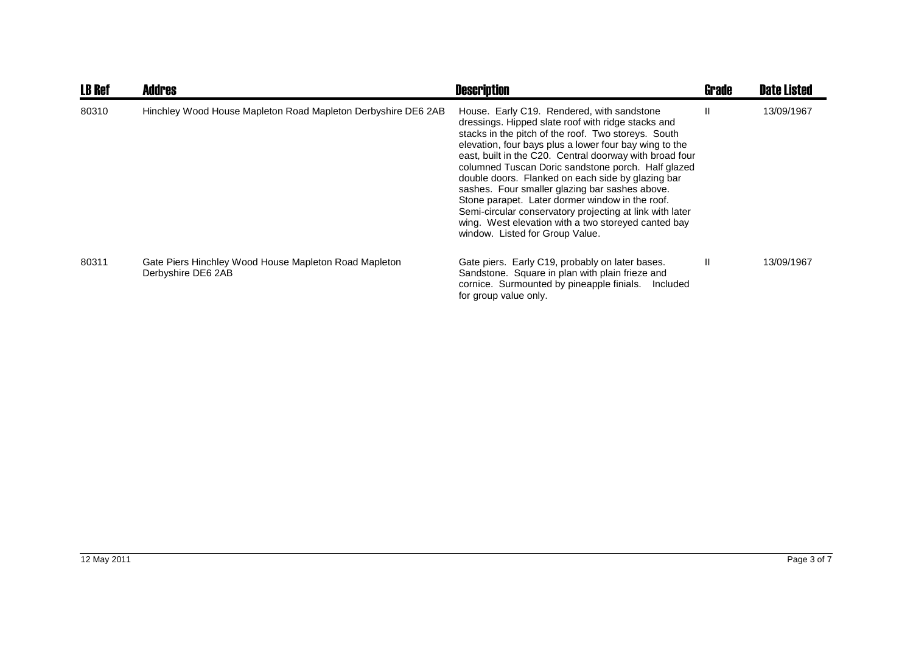| <b>LB Ref</b> | <b>Addres</b>                                                               | <b>Description</b>                                                                                                                                                                                                                                                                                                                                                                                                                                                                                                                                                                                                                                 | Grade | <b>Date Listed</b> |
|---------------|-----------------------------------------------------------------------------|----------------------------------------------------------------------------------------------------------------------------------------------------------------------------------------------------------------------------------------------------------------------------------------------------------------------------------------------------------------------------------------------------------------------------------------------------------------------------------------------------------------------------------------------------------------------------------------------------------------------------------------------------|-------|--------------------|
| 80310         | Hinchley Wood House Mapleton Road Mapleton Derbyshire DE6 2AB               | House. Early C19. Rendered, with sandstone<br>dressings. Hipped slate roof with ridge stacks and<br>stacks in the pitch of the roof. Two storeys. South<br>elevation, four bays plus a lower four bay wing to the<br>east, built in the C20. Central doorway with broad four<br>columned Tuscan Doric sandstone porch. Half glazed<br>double doors. Flanked on each side by glazing bar<br>sashes. Four smaller glazing bar sashes above.<br>Stone parapet. Later dormer window in the roof.<br>Semi-circular conservatory projecting at link with later<br>wing. West elevation with a two storeyed canted bay<br>window. Listed for Group Value. | Ш     | 13/09/1967         |
| 80311         | Gate Piers Hinchley Wood House Mapleton Road Mapleton<br>Derbyshire DE6 2AB | Gate piers. Early C19, probably on later bases.<br>Sandstone. Square in plan with plain frieze and<br>cornice. Surmounted by pineapple finials.<br>Included<br>for group value only.                                                                                                                                                                                                                                                                                                                                                                                                                                                               | Ш     | 13/09/1967         |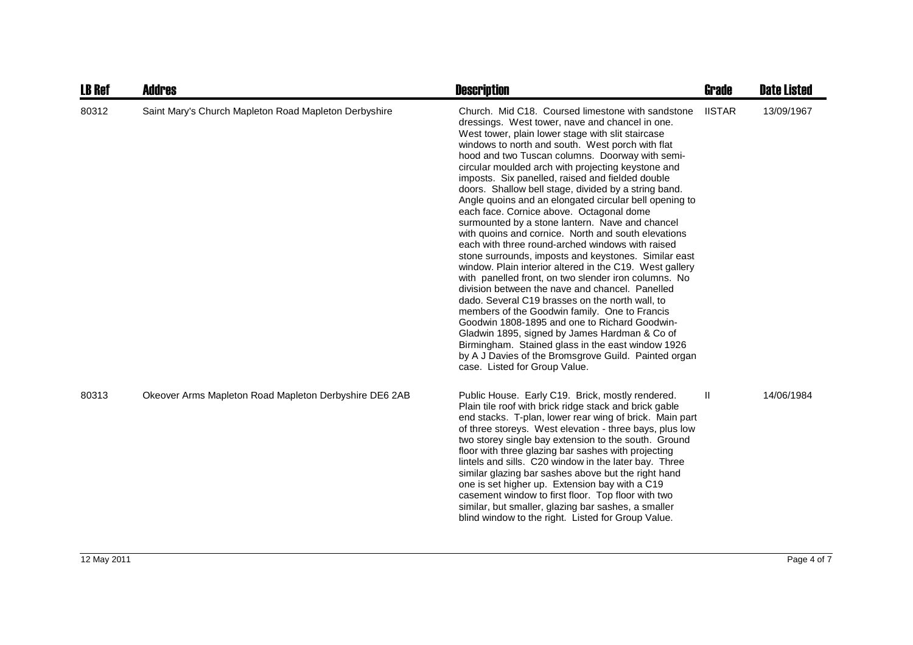| <b>LB Ref</b> | <b>Addres</b>                                          | <b>Description</b>                                                                                                                                                                                                                                                                                                                                                                                                                                                                                                                                                                                                                                                                                                                                                                                                                                                                                                                                                                                                                                                                                                                                                                                                                                                                       | <b>Grade</b>  | <b>Date Listed</b> |
|---------------|--------------------------------------------------------|------------------------------------------------------------------------------------------------------------------------------------------------------------------------------------------------------------------------------------------------------------------------------------------------------------------------------------------------------------------------------------------------------------------------------------------------------------------------------------------------------------------------------------------------------------------------------------------------------------------------------------------------------------------------------------------------------------------------------------------------------------------------------------------------------------------------------------------------------------------------------------------------------------------------------------------------------------------------------------------------------------------------------------------------------------------------------------------------------------------------------------------------------------------------------------------------------------------------------------------------------------------------------------------|---------------|--------------------|
| 80312         | Saint Mary's Church Mapleton Road Mapleton Derbyshire  | Church. Mid C18. Coursed limestone with sandstone<br>dressings. West tower, nave and chancel in one.<br>West tower, plain lower stage with slit staircase<br>windows to north and south. West porch with flat<br>hood and two Tuscan columns. Doorway with semi-<br>circular moulded arch with projecting keystone and<br>imposts. Six panelled, raised and fielded double<br>doors. Shallow bell stage, divided by a string band.<br>Angle quoins and an elongated circular bell opening to<br>each face. Cornice above. Octagonal dome<br>surmounted by a stone lantern. Nave and chancel<br>with quoins and cornice. North and south elevations<br>each with three round-arched windows with raised<br>stone surrounds, imposts and keystones. Similar east<br>window. Plain interior altered in the C19. West gallery<br>with panelled front, on two slender iron columns. No<br>division between the nave and chancel. Panelled<br>dado. Several C19 brasses on the north wall, to<br>members of the Goodwin family. One to Francis<br>Goodwin 1808-1895 and one to Richard Goodwin-<br>Gladwin 1895, signed by James Hardman & Co of<br>Birmingham. Stained glass in the east window 1926<br>by A J Davies of the Bromsgrove Guild. Painted organ<br>case. Listed for Group Value. | <b>IISTAR</b> | 13/09/1967         |
| 80313         | Okeover Arms Mapleton Road Mapleton Derbyshire DE6 2AB | Public House. Early C19. Brick, mostly rendered.<br>Plain tile roof with brick ridge stack and brick gable<br>end stacks. T-plan, lower rear wing of brick. Main part<br>of three storeys. West elevation - three bays, plus low<br>two storey single bay extension to the south. Ground<br>floor with three glazing bar sashes with projecting<br>lintels and sills. C20 window in the later bay. Three<br>similar glazing bar sashes above but the right hand<br>one is set higher up. Extension bay with a C19<br>casement window to first floor. Top floor with two<br>similar, but smaller, glazing bar sashes, a smaller<br>blind window to the right. Listed for Group Value.                                                                                                                                                                                                                                                                                                                                                                                                                                                                                                                                                                                                     | Ш             | 14/06/1984         |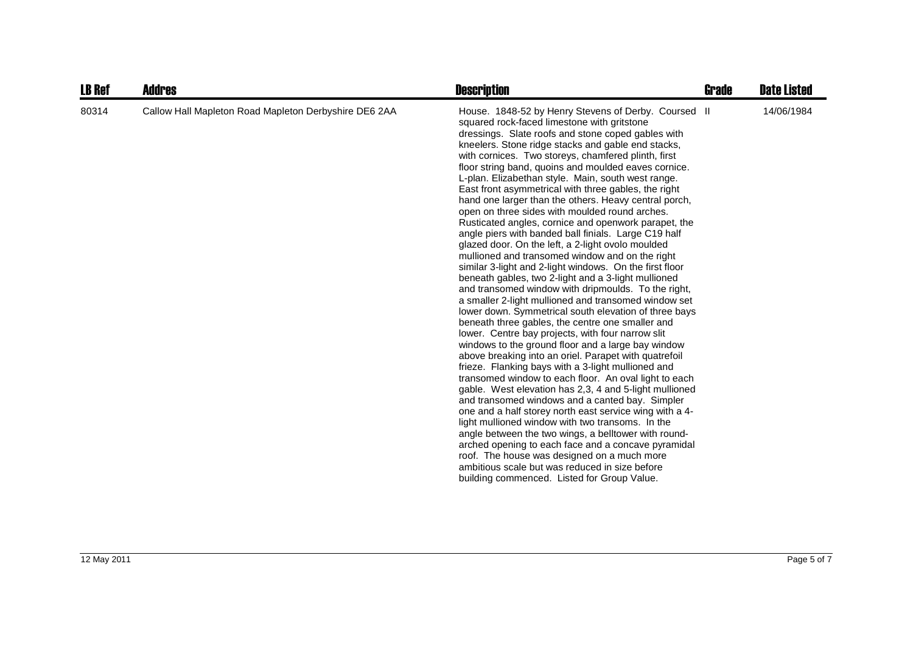| <b>LB Ref</b> | <b>Addres</b>                                         | <b>Description</b>                                                                                                                                                                                                                                                                                                                                                                                                                                                                                                                                                                                                                                                                                                                                                                                                                                                                                                                                                                                                                                                                                                                                                                                                                                                                                                                                                                                                                                                                                                                                                                                                                                                                                                                                                                                                                                                                                          | Grade | <b>Date Listed</b> |
|---------------|-------------------------------------------------------|-------------------------------------------------------------------------------------------------------------------------------------------------------------------------------------------------------------------------------------------------------------------------------------------------------------------------------------------------------------------------------------------------------------------------------------------------------------------------------------------------------------------------------------------------------------------------------------------------------------------------------------------------------------------------------------------------------------------------------------------------------------------------------------------------------------------------------------------------------------------------------------------------------------------------------------------------------------------------------------------------------------------------------------------------------------------------------------------------------------------------------------------------------------------------------------------------------------------------------------------------------------------------------------------------------------------------------------------------------------------------------------------------------------------------------------------------------------------------------------------------------------------------------------------------------------------------------------------------------------------------------------------------------------------------------------------------------------------------------------------------------------------------------------------------------------------------------------------------------------------------------------------------------------|-------|--------------------|
| 80314         | Callow Hall Mapleton Road Mapleton Derbyshire DE6 2AA | House. 1848-52 by Henry Stevens of Derby. Coursed II<br>squared rock-faced limestone with gritstone<br>dressings. Slate roofs and stone coped gables with<br>kneelers. Stone ridge stacks and gable end stacks,<br>with cornices. Two storeys, chamfered plinth, first<br>floor string band, quoins and moulded eaves cornice.<br>L-plan. Elizabethan style. Main, south west range.<br>East front asymmetrical with three gables, the right<br>hand one larger than the others. Heavy central porch,<br>open on three sides with moulded round arches.<br>Rusticated angles, cornice and openwork parapet, the<br>angle piers with banded ball finials. Large C19 half<br>glazed door. On the left, a 2-light ovolo moulded<br>mullioned and transomed window and on the right<br>similar 3-light and 2-light windows. On the first floor<br>beneath gables, two 2-light and a 3-light mullioned<br>and transomed window with dripmoulds. To the right,<br>a smaller 2-light mullioned and transomed window set<br>lower down. Symmetrical south elevation of three bays<br>beneath three gables, the centre one smaller and<br>lower. Centre bay projects, with four narrow slit<br>windows to the ground floor and a large bay window<br>above breaking into an oriel. Parapet with quatrefoil<br>frieze. Flanking bays with a 3-light mullioned and<br>transomed window to each floor. An oval light to each<br>gable. West elevation has 2,3, 4 and 5-light mullioned<br>and transomed windows and a canted bay. Simpler<br>one and a half storey north east service wing with a 4-<br>light mullioned window with two transoms. In the<br>angle between the two wings, a belltower with round-<br>arched opening to each face and a concave pyramidal<br>roof. The house was designed on a much more<br>ambitious scale but was reduced in size before<br>building commenced. Listed for Group Value. |       | 14/06/1984         |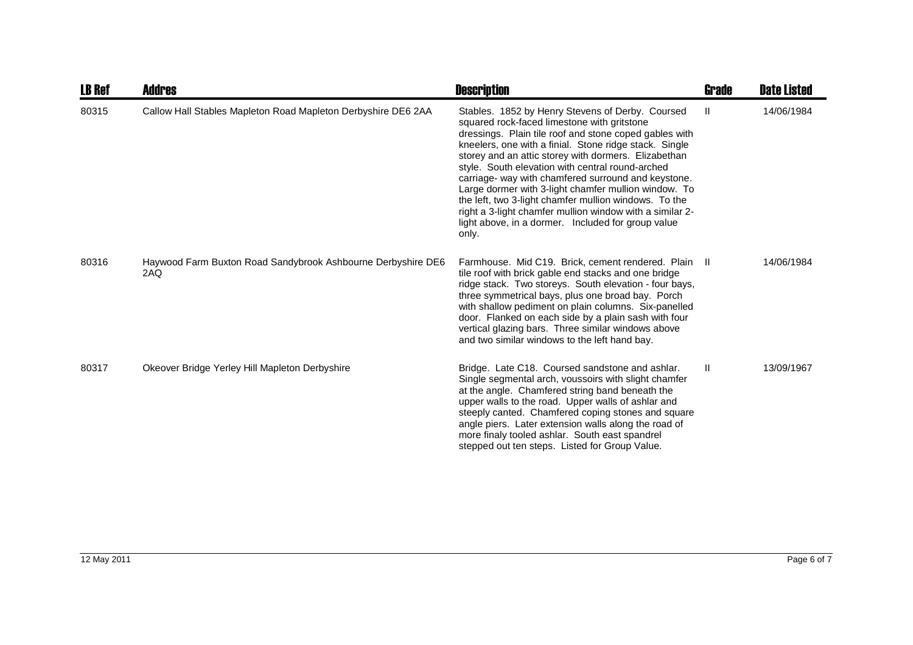| <b>LB Ref</b> | <b>Addres</b>                                                       | <b>Description</b>                                                                                                                                                                                                                                                                                                                                                                                                                                                                                                                                                                                                                 | <b>Grade</b> | <b>Date Listed</b> |
|---------------|---------------------------------------------------------------------|------------------------------------------------------------------------------------------------------------------------------------------------------------------------------------------------------------------------------------------------------------------------------------------------------------------------------------------------------------------------------------------------------------------------------------------------------------------------------------------------------------------------------------------------------------------------------------------------------------------------------------|--------------|--------------------|
| 80315         | Callow Hall Stables Mapleton Road Mapleton Derbyshire DE6 2AA       | Stables. 1852 by Henry Stevens of Derby. Coursed<br>squared rock-faced limestone with gritstone<br>dressings. Plain tile roof and stone coped gables with<br>kneelers, one with a finial. Stone ridge stack. Single<br>storey and an attic storey with dormers. Elizabethan<br>style. South elevation with central round-arched<br>carriage- way with chamfered surround and keystone.<br>Large dormer with 3-light chamfer mullion window. To<br>the left, two 3-light chamfer mullion windows. To the<br>right a 3-light chamfer mullion window with a similar 2-<br>light above, in a dormer. Included for group value<br>only. | Ш            | 14/06/1984         |
| 80316         | Haywood Farm Buxton Road Sandybrook Ashbourne Derbyshire DE6<br>2AQ | Farmhouse. Mid C19. Brick, cement rendered. Plain II<br>tile roof with brick gable end stacks and one bridge<br>ridge stack. Two storeys. South elevation - four bays,<br>three symmetrical bays, plus one broad bay. Porch<br>with shallow pediment on plain columns. Six-panelled<br>door. Flanked on each side by a plain sash with four<br>vertical glazing bars. Three similar windows above<br>and two similar windows to the left hand bay.                                                                                                                                                                                 |              | 14/06/1984         |
| 80317         | Okeover Bridge Yerley Hill Mapleton Derbyshire                      | Bridge. Late C18. Coursed sandstone and ashlar.<br>Single segmental arch, voussoirs with slight chamfer<br>at the angle. Chamfered string band beneath the<br>upper walls to the road. Upper walls of ashlar and<br>steeply canted. Chamfered coping stones and square<br>angle piers. Later extension walls along the road of<br>more finaly tooled ashlar. South east spandrel<br>stepped out ten steps. Listed for Group Value.                                                                                                                                                                                                 | Ш            | 13/09/1967         |